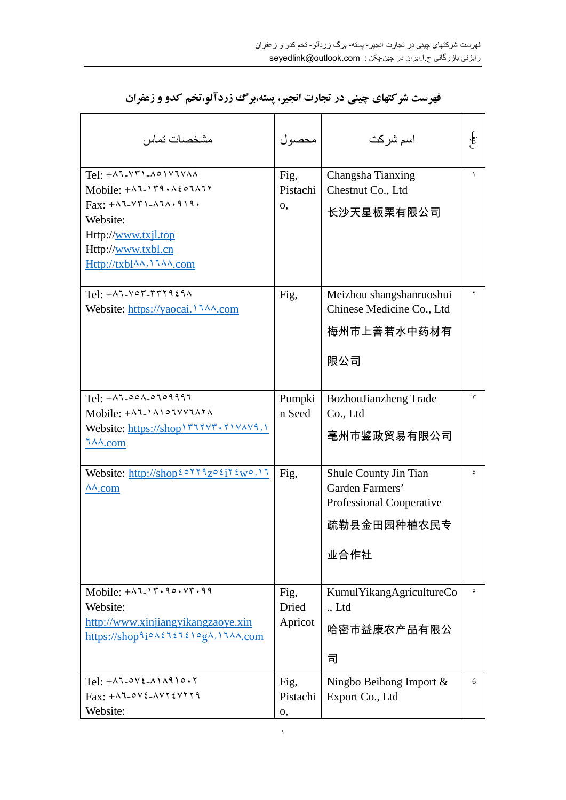| مشخصات تماس                                                                                                                                                                                                                                                                                | محصول                    | اسم شركت                                                                                    | .<br>المجموع |
|--------------------------------------------------------------------------------------------------------------------------------------------------------------------------------------------------------------------------------------------------------------------------------------------|--------------------------|---------------------------------------------------------------------------------------------|--------------|
| Tel: $+$ $\wedge$ $\vee$ $\wedge$ $\wedge$ $\wedge$ $\wedge$ $\vee$ $\wedge$ $\wedge$<br>Mobile: $+ \lambda$ 7-179. $\lambda$ 207 $\lambda$ 77<br>$\text{Fax}: +\wedge 7-\vee 7-\wedge 7\wedge \cdot 9$<br>Website:<br>Http://www.txjl.top<br>Http://www.txbl.cn<br>Http://txblAA,17AA.com | Fig,<br>Pistachi<br>0,   | Changsha Tianxing<br>Chestnut Co., Ltd<br>长沙天星板栗有限公司                                        | $\lambda$    |
| $Tel: +$ $\wedge$ $\vee$ $\wedge$ $\wedge$ $\wedge$ $\wedge$ $\wedge$                                                                                                                                                                                                                      | Fig,                     | Meizhou shangshanruoshui<br>Chinese Medicine Co., Ltd<br>梅州市上善若水中药材有<br>限公司                 | ۲            |
| $Tel: + \wedge 1 - \circ \circ \wedge - \circ 1 \circ 9991$<br>Mobile: $+$ $\wedge$ $\wedge$ $\wedge$ $\wedge$ $\wedge$ $\wedge$ $\wedge$ $\wedge$<br>Website: https://shop \ \v\v\ \v\v\v\\ \\<br>$7\lambda\lambda$ .com                                                                  | Pumpki<br>n Seed         | BozhouJianzheng Trade<br>Co., Ltd<br>亳州市鉴政贸易有限公司                                            | ٣            |
| Website: http://shop20119zo2j12w0,11<br>$\lambda\lambda$ .com                                                                                                                                                                                                                              | Fig,                     | Shule County Jin Tian<br>Garden Farmers'<br>Professional Cooperative<br>疏勒县金田园种植农民专<br>业合作社 | ٤            |
| Mobile: $+ \lambda^2 \lambda^2 \lambda^2 \lambda^3$<br>Website:<br>http://www.xinjiangyikangzaoye.xin<br>$\frac{https://shop1o}{\lambda\xi\log\lambda}$                                                                                                                                    | Fig,<br>Dried<br>Apricot | KumulYikangAgricultureCo<br>L, Ltd<br>哈密市益康农产品有限公<br>司                                      | $\circ$      |
| $Tel: +\wedge 7 - o \vee 2 - \wedge 1 \wedge 9 1 o \cdot 7$<br>$Fax: +\lambda 7-\delta V\epsilon -\lambda VY\epsilon VYY9$<br>Website:                                                                                                                                                     | Fig,<br>Pistachi<br>о,   | Ningbo Beihong Import $\&$<br>Export Co., Ltd                                               | 6            |

**فهرست شرکتهاي چینی در تجارت انجیر، پسته،برگ زردآلو،تخم کدو و زعفران**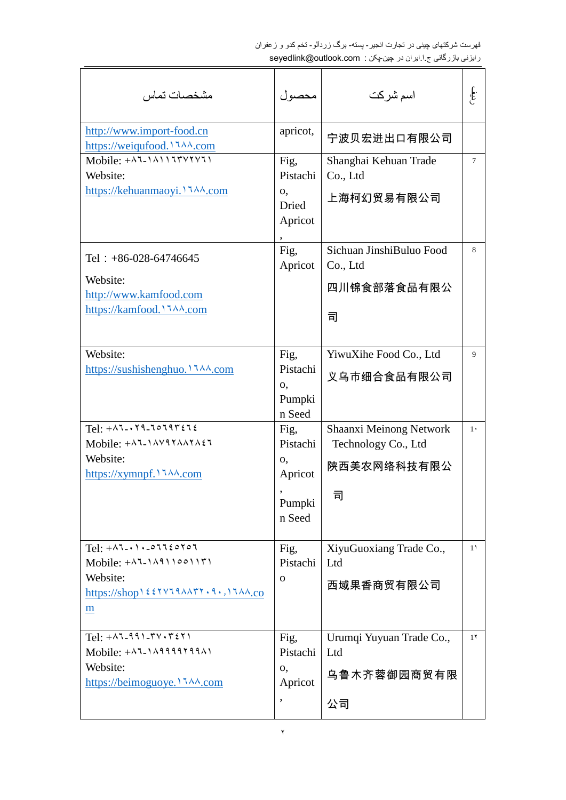| مشخصات تماس                                                                                                                                                    | محصول                                                      | اسم شركت                                                           | .<br>المجموع   |
|----------------------------------------------------------------------------------------------------------------------------------------------------------------|------------------------------------------------------------|--------------------------------------------------------------------|----------------|
| http://www.import-food.cn<br>https://weiqufood.1744.com                                                                                                        | apricot,                                                   | 宁波贝宏进出口有限公司                                                        |                |
| Mobile: $+$ $\lambda$ 1.1 $\lambda$ 11 $\tau$ $\gamma$<br>Website:                                                                                             | Fig,<br>Pistachi<br>$\mathbf{0}$<br>Dried<br>Apricot       | Shanghai Kehuan Trade<br>Co., Ltd<br>上海柯幻贸易有限公司                    | $\tau$         |
| Tel : $+86-028-64746645$<br>Website:<br>http://www.kamfood.com<br>https://kamfood.1744.com                                                                     | Fig,<br>Apricot                                            | Sichuan JinshiBuluo Food<br>Co., Ltd<br>四川锦食部落食品有限公<br>司           | 8              |
| Website:<br>https://sushishenghuo. 1744.com                                                                                                                    | Fig.<br>Pistachi<br>0,<br>Pumpki<br>n Seed                 | YiwuXihe Food Co., Ltd<br>义乌市细合食品有限公司                              | 9              |
| $Tel: + \wedge 7 - \wedge 7 - 70797272$<br>Mobile: $+$ ALIAVIYAAYAEL<br>Website:<br>https://xymnpf. $\lambda \lambda$ .com                                     | Fig,<br>Pistachi<br>0,<br>Apricot<br>,<br>Pumpki<br>n Seed | Shaanxi Meinong Network<br>Technology Co., Ltd<br>陕西美农网络科技有限公<br>司 | $1 \cdot$      |
| $Tel: + \wedge 7 - \wedge 1 - 0$ 7720707<br>$Mobile: + \wedge 7 - \wedge 4 \wedge 9 \wedge 0 \wedge 17$<br>Website:<br>https://shop122YV19AATT.9.,17AA.co<br>m | Fig,<br>Pistachi<br>$\mathbf 0$                            | XiyuGuoxiang Trade Co.,<br>Ltd<br>西域果香商贸有限公司                       | 1 <sup>1</sup> |
| $Tel: + \wedge 7 - 991 - TV \cdot r \leq Y1$<br>Mobile: $+ \lambda$ 1.1 $\lambda$ 9999799 $\lambda$<br>Website:<br>https://beimoguoye. \ 144.com               | Fig,<br>Pistachi<br>0,<br>Apricot<br>,                     | Urumqi Yuyuan Trade Co.,<br>Ltd<br>乌鲁木齐蓉御园商贸有限<br>公司               | $1\tau$        |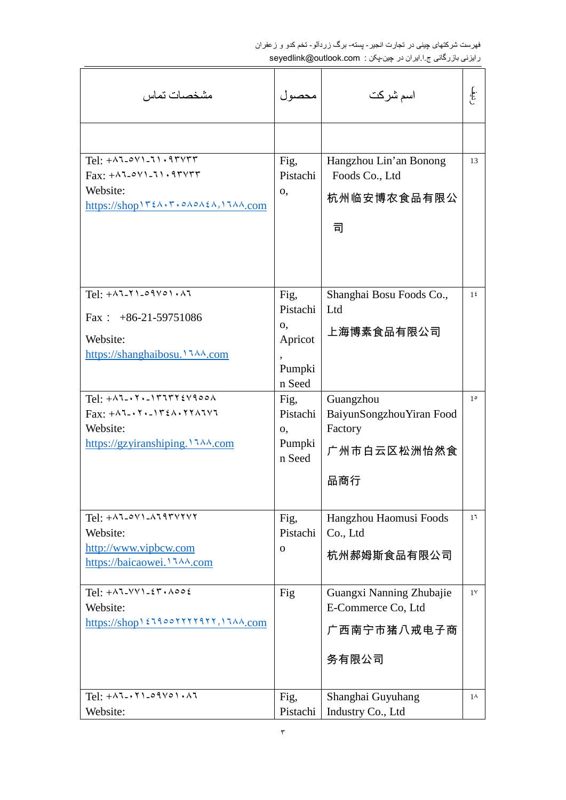| مشخصات تماس                                                                                                                                                                                                                                                                                                                                                                                        | محصول                                                                                               | اسم شركت                                                                                                                | .<br>المجموع                  |
|----------------------------------------------------------------------------------------------------------------------------------------------------------------------------------------------------------------------------------------------------------------------------------------------------------------------------------------------------------------------------------------------------|-----------------------------------------------------------------------------------------------------|-------------------------------------------------------------------------------------------------------------------------|-------------------------------|
| $Tel: + \wedge 7 - o \vee 1 - 71.9$<br>$\text{Fax:} + \text{ATOVI}-11.9 \text{TYYT}$<br>Website:<br>https://shop \ r { ^ . r . o ^ o ^ { ^ , \ 1 \ ^ . com                                                                                                                                                                                                                                         | Fig,<br>Pistachi<br>0,                                                                              | Hangzhou Lin'an Bonong<br>Foods Co., Ltd<br>杭州临安博农食品有限公<br>司                                                            | 13                            |
| $Tel: + \wedge 7 - 71 - 91 \vee 01 \cdot \wedge 7$<br>Fax : $+86-21-59751086$<br>Website:<br>https://shanghaibosu. 1744.com<br>$Tel: + \wedge 7 - \wedge 7 - \wedge 7 + \wedge 7 + \wedge 6$<br>$\text{Fax:} +\lambda \text{7-} \cdot \text{7} \cdot \text{-} \lambda \cdot \text{7} \cdot \text{7} \cdot \text{7} \cdot \text{7} \cdot \text{7}$<br>Website:<br>https://gzyiranshiping. \ 144.com | Fig.<br>Pistachi<br>о,<br>Apricot<br>Pumpki<br>n Seed<br>Fig,<br>Pistachi<br>0,<br>Pumpki<br>n Seed | Shanghai Bosu Foods Co.,<br>Ltd<br>上海博素食品有限公司<br>Guangzhou<br>BaiyunSongzhouYiran Food<br>Factory<br>广州市白云区松洲怡然食<br>品商行 | 1 <sup>2</sup><br>$1^{\circ}$ |
| Website:<br>http://www.vipbcw.com<br>https://baicaowei. 1744.com                                                                                                                                                                                                                                                                                                                                   | Fig,<br>Pistachi<br>$\mathbf{O}$                                                                    | Hangzhou Haomusi Foods<br>Co., Ltd<br>杭州郝姆斯食品有限公司                                                                       | 1 <sup>7</sup>                |
| $Tel: +\lambda 7-\nu \nu 1-\epsilon r \cdot \lambda 00\epsilon$<br>Website:<br>https://shop \ { J 900 Y Y Y Y 9 Y Y , I J AA.com<br>$Tel: + \wedge 7 - \wedge 7 - \circ 9 \vee \circ 1 \cdot \wedge 7$                                                                                                                                                                                             | Fig<br>Fig,                                                                                         | Guangxi Nanning Zhubajie<br>E-Commerce Co, Ltd<br>广西南宁市猪八戒电子商<br>务有限公司<br>Shanghai Guyuhang                             | $1\vee$<br>$1^{\lambda}$      |
| Website:                                                                                                                                                                                                                                                                                                                                                                                           | Pistachi                                                                                            | Industry Co., Ltd                                                                                                       |                               |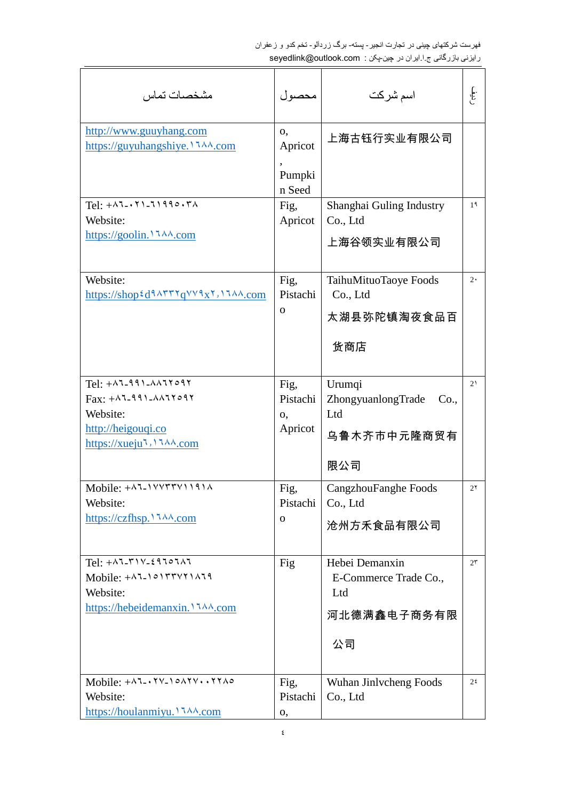| مشخصات تماس                                                                                                                                                    | محصول                                  | اسم شركت                                                            | .<br>المجموع   |
|----------------------------------------------------------------------------------------------------------------------------------------------------------------|----------------------------------------|---------------------------------------------------------------------|----------------|
| http://www.guuyhang.com<br>https://guyuhangshiye. 1744.com                                                                                                     | 0,<br>Apricot<br>,<br>Pumpki<br>n Seed | 上海古钰行实业有限公司                                                         |                |
| $Tel: + \wedge 7 - \wedge 1 - 71990.70$<br>Website:<br>https://goolin. $114.$ .com                                                                             | Fig,<br>Apricot                        | Shanghai Guling Industry<br>Co., Ltd<br>上海谷领实业有限公司                  | 1 <sup>9</sup> |
| Website:<br>https://shop $\frac{\xi}{d}$ ۹۸۳۳۲ $q$ ۷۷۹x۲, ۱۶۸۸.com                                                                                             | Fig,<br>Pistachi<br>$\mathbf 0$        | TaihuMituoTaoye Foods<br>Co., Ltd<br>太湖县弥陀镇淘夜食品百<br>货商店             | $2 \cdot$      |
| $Tel: +\lambda 7-991-\lambda \lambda 77097$<br>$Fax: +^{\lambda}$ -991- $^{\lambda}$<br>Website:<br>http://heigouqi.co<br>https://xueju <sup>1</sup> ,1144.com | Fig,<br>Pistachi<br>0,<br>Apricot      | Urumqi<br>ZhongyuanlongTrade<br>Co.,<br>Ltd<br>乌鲁木齐市中元隆商贸有<br>限公司   | 2 <sub>1</sub> |
| Mobile: $+$ $\lambda$ 7- $\lambda$ $\forall$ $\forall$ $\forall$ $\forall$ $\forall$ $\lambda$<br>Website:<br>https://czfhsp.1744.com                          | Fig,<br>Pistachi<br>0                  | CangzhouFanghe Foods<br>Co., Ltd<br>沧州方禾食品有限公司                      | $2\gamma$      |
| $Tel: +\lambda 7-\gamma 1V-29707\lambda$<br>Mobile: $+$ ALIOITTYIIAII<br>Website:<br>https://hebeidemanxin. 1744.com                                           | Fig                                    | Hebei Demanxin<br>E-Commerce Trade Co.,<br>Ltd<br>河北德满鑫电子商务有限<br>公司 | $2\tau$        |
| Mobile: $+ \lambda$ 7 - $\lambda$ YV- $\lambda$ $\circ \lambda$ YV $\cdot \cdot$ YY $\lambda \circ$<br>Website:<br>https://houlanmiyu. \ JAA.com               | Fig,<br>Pistachi<br>0,                 | Wuhan Jinlycheng Foods<br>Co., Ltd                                  | 2 <sup>2</sup> |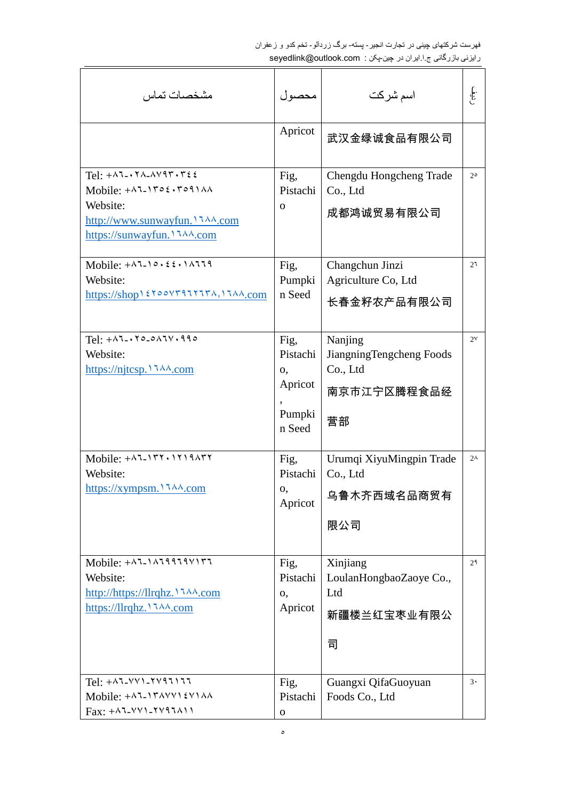| مشخصات تماس                                                                                                                                                                                                                                                                                                                                                                                                             | محصول                                                 | اسم شركت                                                             | .<br>المجموع   |
|-------------------------------------------------------------------------------------------------------------------------------------------------------------------------------------------------------------------------------------------------------------------------------------------------------------------------------------------------------------------------------------------------------------------------|-------------------------------------------------------|----------------------------------------------------------------------|----------------|
|                                                                                                                                                                                                                                                                                                                                                                                                                         | Apricot                                               | 武汉金绿诚食品有限公司                                                          |                |
| Tel: $+ \lambda$ 7 - $\lambda$ 7 - $\lambda$ $\lambda$ 9 $\lambda$ $\lambda$ $\tau$ $\epsilon$ $\epsilon$<br>Mobile: $+ \lambda$ 7-1502.5091 $\lambda$<br>Website:<br>http://www.sunwayfun. 1744.com<br>https://sunwayfun. 1744.com                                                                                                                                                                                     | Fig,<br>Pistachi<br>$\mathbf{O}$                      | Chengdu Hongcheng Trade<br>Co., Ltd<br>成都鸿诚贸易有限公司                    | $2^{\circ}$    |
| Mobile: $+ \lambda^2 - 1 \circ . 2 \circ . 1 \wedge 7 \circ . 9$<br>Website:<br>https://shop \ { Y \cov۳٩٦٢٦٣٨, \ I \A \, com                                                                                                                                                                                                                                                                                           | Fig,<br>Pumpki<br>n Seed                              | Changchun Jinzi<br>Agriculture Co, Ltd<br>长春金籽农产品有限公司                | 2 <sup>7</sup> |
| $Tel: + \wedge 7 - \wedge 7 \circ - \circ \wedge 7 \vee \wedge 99 \circ$<br>Website:                                                                                                                                                                                                                                                                                                                                    | Fig,<br>Pistachi<br>0,<br>Apricot<br>Pumpki<br>n Seed | Nanjing<br>JiangningTengcheng Foods<br>Co., Ltd<br>南京市江宁区腾程食品经<br>营部 | $2^{\vee}$     |
| Website:<br>https://xympsm.1744.com                                                                                                                                                                                                                                                                                                                                                                                     | Fig.<br>Pistachi<br>0,<br>Apricot                     | Urumqi XiyuMingpin Trade<br>Co., Ltd<br>乌鲁木齐西域名品商贸有<br>限公司           | $2^{\lambda}$  |
| Mobile: $+$ $\lambda$ 1.1 $\lambda$ 19119 $\lambda$<br>Website:<br>http://https://llrqhz. \ \ \ \.com                                                                                                                                                                                                                                                                                                                   | Fig,<br>Pistachi<br>0,<br>Apricot                     | Xinjiang<br>LoulanHongbaoZaoye Co.,<br>Ltd<br>新疆楼兰红宝枣业有限公<br>司       | 2 <sup>9</sup> |
| $Tel: +$ $\wedge$ $\vee$ $\vee$ $\vee$ $\wedge$ $\wedge$ $\wedge$ $\wedge$ $\wedge$ $\wedge$ $\wedge$ $\wedge$ $\wedge$ $\wedge$ $\wedge$ $\wedge$ $\wedge$ $\wedge$ $\wedge$ $\wedge$ $\wedge$ $\wedge$ $\wedge$ $\wedge$ $\wedge$ $\wedge$ $\wedge$ $\wedge$ $\wedge$ $\wedge$ $\wedge$ $\wedge$ $\wedge$ $\wedge$ $\wedge$ $\wedge$<br>Mobile: +^1-1٣^**** ٤٧١٨٨<br>$Fax: +^{\lambda}$ -<br>YV1-<br>YV9 $\lambda$ 11 | Fig,<br>Pistachi<br>$\mathbf O$                       | Guangxi QifaGuoyuan<br>Foods Co., Ltd                                | $3 \cdot$      |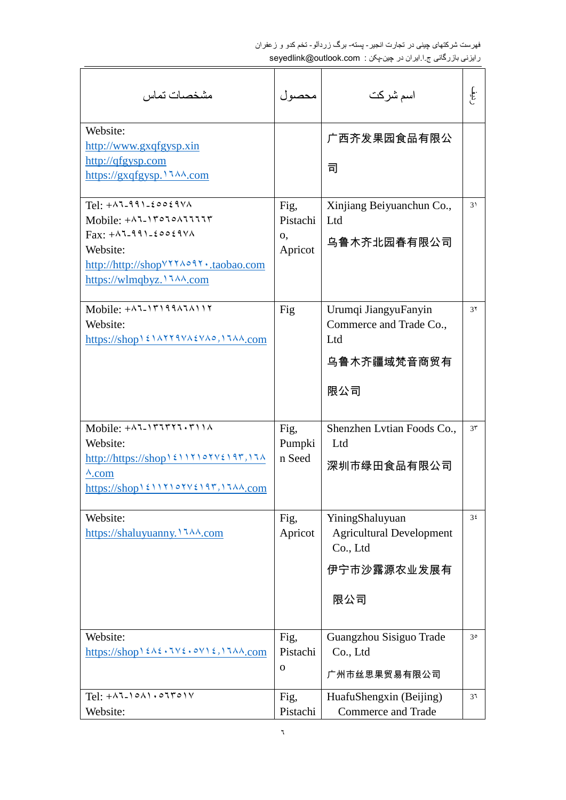| مشخصات تماس                                                                                                                                                                                                                                                                                                         | محصول                             | اسم شركت                                                                             | .<br>المجموع   |
|---------------------------------------------------------------------------------------------------------------------------------------------------------------------------------------------------------------------------------------------------------------------------------------------------------------------|-----------------------------------|--------------------------------------------------------------------------------------|----------------|
| Website:<br>http://www.gxqfgysp.xin<br>http://qfgysp.com<br>https://gxqfgysp.1744.com                                                                                                                                                                                                                               |                                   | 广西齐发果园食品有限公<br>司                                                                     |                |
| $Tel: + \wedge 7 - 991 - 60069V$<br>Mobile: $+$ $\wedge$ $\uparrow$ $\uparrow$ $\circ$ $\uparrow$ $\circ$ $\wedge$ $\uparrow$ $\uparrow$ $\uparrow$<br>$\text{Fax:} + \wedge \text{7-991-} \text{20029} \vee \wedge$<br>Website:<br>http://http://shop <sup>v ۲</sup> ۲۸۰۹۲ .taobao.com<br>https://wlmqbyz.17^A.com | Fig,<br>Pistachi<br>0,<br>Apricot | Xinjiang Beiyuanchun Co.,<br>Ltd<br>乌鲁木齐北园春有限公司                                      | 3 <sup>1</sup> |
| $Mobile: +$ $\wedge$ $\vee$ - $\wedge$ $\wedge$ $\wedge$ $\wedge$ $\wedge$ $\wedge$ $\wedge$<br>Website:<br>https://shop \ { \AYY9VA{VA^0, \JAA.com                                                                                                                                                                 | Fig                               | Urumqi JiangyuFanyin<br>Commerce and Trade Co.,<br>Ltd<br>乌鲁木齐疆域梵音商贸有<br>限公司         | 3 <sup>7</sup> |
| Mobile: $+$ $\lambda$ 7- $\lambda$ $\tau$ $\tau$ $\tau$ $\lambda$ $\lambda$<br>Website:<br>$\lambda$ .com<br>$\frac{\text{https://shop11110101/197}{\text{https://shop12111101/197},17} \lambda \lambda \text{.com}}$                                                                                               | Fig,<br>Pumpki<br>n Seed          | Shenzhen Lytian Foods Co.,<br>Ltd<br>深圳市绿田食品有限公司                                     | $3\tau$        |
| Website:                                                                                                                                                                                                                                                                                                            | Fig,<br>Apricot                   | YiningShaluyuan<br><b>Agricultural Development</b><br>Co., Ltd<br>伊宁市沙露源农业发展有<br>限公司 | 3 <sup>2</sup> |
| Website:<br>https://shop $\xi \wedge \xi \cdot \forall \xi \cdot \circ \forall \xi$ , \ $\forall \wedge \lambda$ .com                                                                                                                                                                                               | Fig,<br>Pistachi<br>$\mathbf{O}$  | Guangzhou Sisiguo Trade<br>Co., Ltd<br>广州市丝思果贸易有限公司                                  | $3^{\circ}$    |
| $Tel: + \wedge 7 - 1 \circ \wedge 1 \circ \circ 7 \circ \wedge \vee$<br>Website:                                                                                                                                                                                                                                    | Fig,<br>Pistachi                  | HuafuShengxin (Beijing)<br><b>Commerce and Trade</b>                                 | 31             |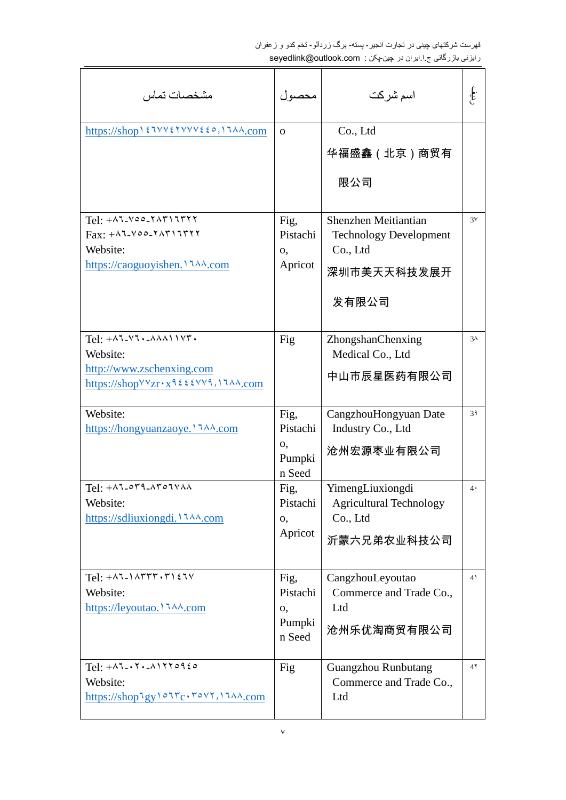| مشخصات تماس                                                                                                                                                                                      | محصول                                      | اسم شركت                                                                                  | .<br>المجموع   |
|--------------------------------------------------------------------------------------------------------------------------------------------------------------------------------------------------|--------------------------------------------|-------------------------------------------------------------------------------------------|----------------|
| https://shop \ { IVV{YVVV{{0, \] IAA.com                                                                                                                                                         | $\Omega$                                   | Co., Ltd<br>华福盛鑫(北京)商贸有<br>限公司                                                            |                |
| $Tel: +$ AJ-Voo-YATIJTYY<br>$Fax: +\lambda 7-\lambda 00-\lambda \lambda 717777$<br>Website:<br>https://caoguoyishen. 1744.com                                                                    | Fig,<br>Pistachi<br>О,<br>Apricot          | Shenzhen Meitiantian<br><b>Technology Development</b><br>Co., Ltd<br>深圳市美天天科技发展开<br>发有限公司 | $3\prime$      |
| $Tel: +\lambda 7-\lambda 7$ . $-\lambda \lambda \lambda 11\lambda 7$ .<br>Website:<br>http://www.zschenxing.com<br>https://shop $VVZr \cdot x \cdot 9 \leq \ell VV9$ , 17 $\lambda \lambda$ .com | Fig                                        | ZhongshanChenxing<br>Medical Co., Ltd<br>中山市辰星医药有限公司                                      | 3 <sub>A</sub> |
| Website:<br>https://hongyuanzaoye. \ 144.com                                                                                                                                                     | Fig.<br>Pistachi<br>0,<br>Pumpki<br>n Seed | CangzhouHongyuan Date<br>Industry Co., Ltd<br>沧州宏源枣业有限公司                                  | 3۹             |
| $Tel: +\wedge 7 - \circ 79 - \wedge 7 \circ 7 \vee \wedge \wedge$<br>Website:                                                                                                                    | Fig,<br>Pistachi<br>О,<br>Apricot          | YimengLiuxiongdi<br><b>Agricultural Technology</b><br>Co., Ltd<br>沂蒙六兄弟农业科技公司             | 4.             |
| $Tel: +\lambda T-\lambda \nabla T$<br>Website:<br>https://leyoutao. 1744.com                                                                                                                     | Fig,<br>Pistachi<br>0,<br>Pumpki<br>n Seed | CangzhouLeyoutao<br>Commerce and Trade Co.,<br>Ltd<br>沧州乐优淘商贸有限公司                         | 4 <sup>1</sup> |
| $Tel: + \wedge 7 - \wedge 7 - \wedge 1770920$<br>Website:<br>https://shoplgy101rc.rovt,1144.com                                                                                                  | Fig                                        | <b>Guangzhou Runbutang</b><br>Commerce and Trade Co.,<br>Ltd                              | 4 <sup>7</sup> |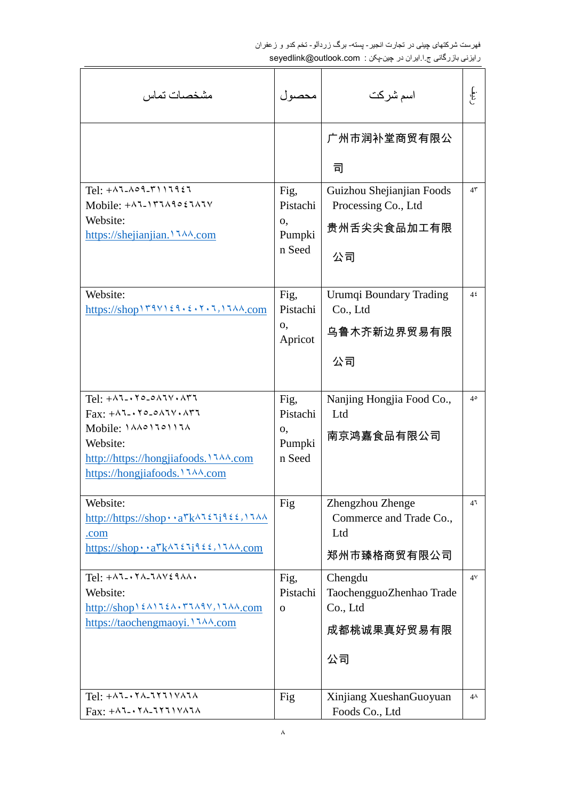| مشخصات تماس                                                                                                                                                                                                                                   | محصول                                      | اسم شركت                                                              | .<br>المجموع   |
|-----------------------------------------------------------------------------------------------------------------------------------------------------------------------------------------------------------------------------------------------|--------------------------------------------|-----------------------------------------------------------------------|----------------|
|                                                                                                                                                                                                                                               |                                            | 广州市润补堂商贸有限公<br>발                                                      |                |
| $Tel: + \wedge 7 - \wedge 9 - 7)17957$<br>Mobile: $+ \lambda$ 7-177 $\lambda$ 9027 $\lambda$ 7V<br>Website:<br>https://shejianjian. 1744.com                                                                                                  | Fig.<br>Pistachi<br>0,<br>Pumpki<br>n Seed | Guizhou Shejianjian Foods<br>Processing Co., Ltd<br>贵州舌尖尖食品加工有限<br>公司 | 4 <sup>7</sup> |
| Website:<br>$\frac{https://shop179\lor129.5.17.17}{A\land\_{com}}$                                                                                                                                                                            | Fig.<br>Pistachi<br>0,<br>Apricot          | Urumqi Boundary Trading<br>Co., Ltd<br>乌鲁木齐新边界贸易有限<br>公司              | 4 <sup>2</sup> |
| $Tel: + \wedge 7 - \wedge 7 - \wedge \wedge 7 \vee \wedge \wedge 77$<br>$\text{Fax}: +\wedge 7 - \wedge 7 \circ - \circ \wedge 7 \vee \wedge \wedge 77$<br>Mobile: <i>\AA</i> > \Jo\\JA<br>Website:<br>http://https://hongjiafoods. \ JAA.com | Fig.<br>Pistachi<br>0,<br>Pumpki<br>n Seed | Nanjing Hongjia Food Co.,<br>Ltd<br>南京鸿嘉食品有限公司                        | $4^{\circ}$    |
| Website:<br>http://https://shop · · a \k^1 { 1 } { {, 1 } }<br>.com<br>https://shop · · a $k \wedge 1 \in 1 \in \mathbb{Z}$ , $1 \wedge N$ .com                                                                                               | Fig                                        | Zhengzhou Zhenge<br>Commerce and Trade Co.,<br>Ltd<br>郑州市臻格商贸有限公司     | 4 <sup>7</sup> |
| $Tel: +\lambda 7 - \lambda 7 - 7\lambda 9$<br>Website:<br>http://shop\ ٤٨١٦٤٨٠٣٦٨٩٧, \ ٦٨٨.com<br>https://taochengmaoyi. 1744.com                                                                                                             | Fig,<br>Pistachi<br>$\mathbf{O}$           | Chengdu<br>TaochengguoZhenhao Trade<br>Co., Ltd<br>成都桃诚果真好贸易有限<br>公司  | 4 <sup>V</sup> |
| $Tel: + \wedge 7 - \wedge 7 - \wedge 7 + \wedge \wedge \wedge \wedge \wedge$<br>$Fax: +\lambda 7 - \lambda 7 - 77711$                                                                                                                         | Fig                                        | Xinjiang XueshanGuoyuan<br>Foods Co., Ltd                             | $4\lambda$     |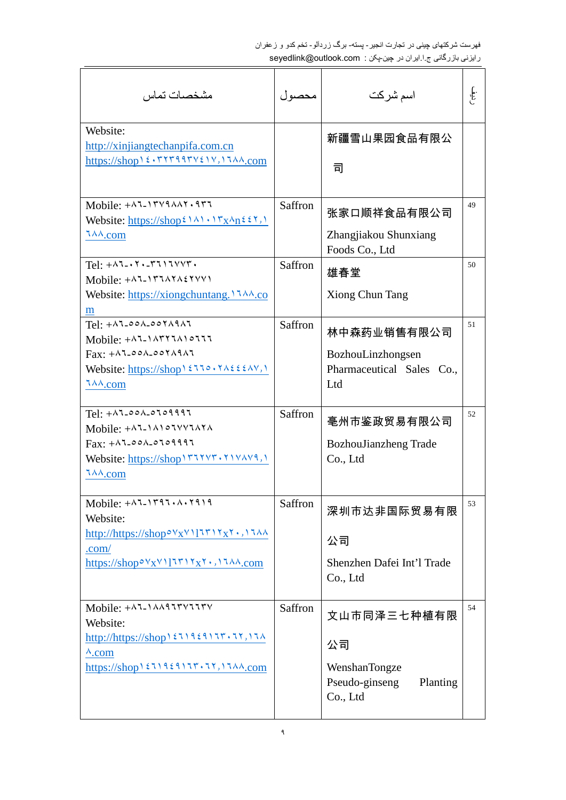| مشخصات تماس                                                                                                                                                                                                                                                                                                                                                                                                                                                                                                                                  | محصول   | اسم شركت                                                                     | ع<br>المجموع |
|----------------------------------------------------------------------------------------------------------------------------------------------------------------------------------------------------------------------------------------------------------------------------------------------------------------------------------------------------------------------------------------------------------------------------------------------------------------------------------------------------------------------------------------------|---------|------------------------------------------------------------------------------|--------------|
| Website:<br>http://xinjiangtechanpifa.com.cn<br>https://shop \ { . TYT99TV{1V, \JAA.com                                                                                                                                                                                                                                                                                                                                                                                                                                                      |         | 新疆雪山果园食品有限公<br>司                                                             |              |
| Mobile: $+ \lambda$ 1-1۳٧٩ $\lambda$ $\lambda$ ۲. ٩٣٦<br>Website: $\frac{h(t) s}{s}$ //shop <sup>2</sup> $\lambda$ 1.1 $\frac{r_x \lambda_n}{s}$ 2.7.1<br>$7\lambda\lambda$ .com                                                                                                                                                                                                                                                                                                                                                             | Saffron | 张家口顺祥食品有限公司<br>Zhangjiakou Shunxiang<br>Foods Co., Ltd                       | 49           |
| $Tel: + \wedge 7 - \wedge 7 - \wedge 7 + \wedge 7 + \wedge$<br>Mobile: $+$ AJ- $\Upsilon$ JAYA $\Upsilon$ YVY)<br>Website: https://xiongchuntang. $17\lambda\lambda$ .co<br>$\underline{m}$                                                                                                                                                                                                                                                                                                                                                  | Saffron | 雄春堂<br><b>Xiong Chun Tang</b>                                                | 50           |
| $Tel: +\lambda 7 - 00\lambda - 00Y\lambda 9\lambda 7$<br>Mobile: $+$ $\wedge$ $\wedge$ $\wedge$ $\wedge$ $\wedge$ $\wedge$ $\wedge$ $\wedge$ $\wedge$ $\wedge$ $\wedge$ $\wedge$ $\wedge$ $\wedge$ $\wedge$ $\wedge$ $\wedge$ $\wedge$ $\wedge$ $\wedge$ $\wedge$ $\wedge$ $\wedge$ $\wedge$ $\wedge$ $\wedge$ $\wedge$ $\wedge$ $\wedge$ $\wedge$ $\wedge$ $\wedge$ $\wedge$ $\wedge$ $\wedge$<br>$Fax: + \land 1 - 00 \land -00 \land \land 9 \land 7$<br>Website: https://shop \ $2770.7\lambda222.4\gamma$ , \<br>$7\lambda\lambda$ .com | Saffron | 林中森药业销售有限公司<br>BozhouLinzhongsen<br>Pharmaceutical Sales Co.,<br>Ltd         | 51           |
| $Tel: +$ $\wedge$ $\sim$ $\wedge$ $\sim$ $\wedge$ $\circ$ $\wedge$ $\circ$ $\wedge$ $\wedge$ $\wedge$<br>Mobile: $+$ $\wedge$ $\wedge$ $\wedge$ $\wedge$ $\wedge$ $\wedge$ $\wedge$ $\wedge$<br>$\text{Fax:} + \wedge \text{Tr} \circ \circ \wedge \circ \text{Tr} \circ \text{Tr} \cdot \text{Tr}$<br>Website: https://shop \rvxyr.x1vAv9,1<br>$7\lambda\lambda$ .com                                                                                                                                                                       | Saffron | 亳州市鉴政贸易有限公司<br>BozhouJianzheng Trade<br>Co., Ltd                             | 52           |
| Mobile: $+ \lambda^2 \lambda^2 \lambda^2$<br>Website:<br>http://https://shop <sup>ov</sup> x <sup>v</sup> 117717x7.1744<br>.com/<br>https://shop $\circ$ $\forall$ x $\lor$ $\exists$ $\forall$ $\forall$ $\forall$ $\forall$ $\forall$ $\land$ $\forall$ $\land$ $\land$ $\downarrow$ $\circ$                                                                                                                                                                                                                                               | Saffron | 深圳市达非国际贸易有限<br>公司<br>Shenzhen Dafei Int'l Trade<br>Co., Ltd                  | 53           |
| Website:<br>$http://https://shop\&511921177.77,17A$<br>$\lambda$ .com<br>$\frac{\text{https://shop1111117.17}}{1000}$                                                                                                                                                                                                                                                                                                                                                                                                                        | Saffron | 文山市同泽三七种植有限<br>公司<br>WenshanTongze<br>Pseudo-ginseng<br>Planting<br>Co., Ltd | 54           |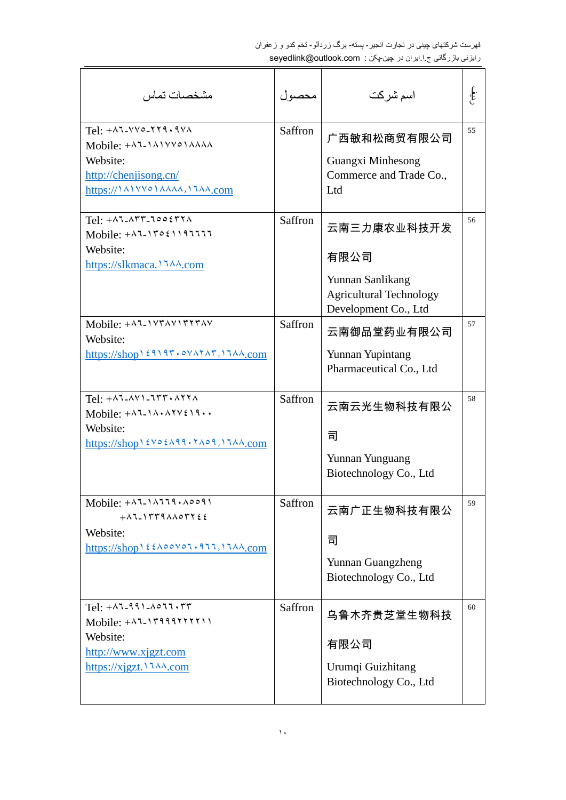| مشخصات تماس                                                                                                                                                                                                                                                                                                                                                                                                                                        | محصول          | اسم شركت                                                                                          | .<br>المجموع |
|----------------------------------------------------------------------------------------------------------------------------------------------------------------------------------------------------------------------------------------------------------------------------------------------------------------------------------------------------------------------------------------------------------------------------------------------------|----------------|---------------------------------------------------------------------------------------------------|--------------|
| $Tel: +$ $\wedge$ $\vee$ $\vee \circ$ - $\wedge$ $\wedge$ $\wedge$<br>Mobile: $+$ $\wedge$ $\wedge$ $\wedge$ $\wedge$ $\vee$ $\wedge$ $\wedge$ $\wedge$ $\wedge$ $\wedge$<br>Website:<br>http://chenjisong.cn/<br>https://\^\\YYo\^^^^\,\J\^.com                                                                                                                                                                                                   | Saffron        | 广西敏和松商贸有限公司<br>Guangxi Minhesong<br>Commerce and Trade Co.,<br>Ltd                                | 55           |
| $Tel: + \wedge 7 - \wedge 77 - 700577 \wedge$<br>Mobile: $+47-17021197777$<br>Website:<br>https://slkmaca. \ <i>AA</i> .com                                                                                                                                                                                                                                                                                                                        | Saffron        | 云南三力康农业科技开发<br>有限公司<br>Yunnan Sanlikang<br><b>Agricultural Technology</b><br>Development Co., Ltd | 56           |
| Mobile: $+$ $\wedge$ $\vee$ $\wedge$ $\vee$ $\wedge$ $\vee$ $\wedge$ $\vee$ $\wedge$ $\vee$<br>Website:                                                                                                                                                                                                                                                                                                                                            | Saffron        | 云南御品堂药业有限公司<br>Yunnan Yupintang<br>Pharmaceutical Co., Ltd                                        | 57           |
| Tel: $+$ $\wedge$ $\wedge$ $\wedge$ $\wedge$ $\wedge$ $\wedge$ $\wedge$ $\wedge$ $\wedge$ $\wedge$<br>Website:<br>https://shop12Vo2A99.17A09,17AA.com                                                                                                                                                                                                                                                                                              | <b>Saffron</b> | 云南云光生物科技有限公<br>司<br>Yunnan Yunguang<br>Biotechnology Co., Ltd                                     | 58           |
| $Mobile: + \wedge 7 - 1 \wedge 779 \cdot \wedge 0091$<br>$+$ $\wedge$ $\wedge$ $\wedge$ $\wedge$ $\wedge$ $\wedge$ $\wedge$ $\wedge$ $\wedge$ $\wedge$ $\wedge$ $\wedge$ $\wedge$ $\wedge$ $\wedge$ $\wedge$ $\wedge$ $\wedge$ $\wedge$ $\wedge$ $\wedge$ $\wedge$ $\wedge$ $\wedge$ $\wedge$ $\wedge$ $\wedge$ $\wedge$ $\wedge$ $\wedge$ $\wedge$ $\wedge$ $\wedge$ $\wedge$ $\wedge$ $\wedge$<br>Website:<br>https://shop1٤٤٨٥٥٧٥٦.911,1144.com | Saffron        | 云南广正生物科技有限公<br>司<br>Yunnan Guangzheng<br>Biotechnology Co., Ltd                                   | 59           |
| $Tel: + \wedge 7 - 99$ ) $\wedge 077.77$<br>$Mobile: + \wedge 7 - 119991111111$<br>Website:<br>http://www.xjgzt.com<br>https://xjgzt. \ $\frac{7\lambda\lambda}{\text{com}}$                                                                                                                                                                                                                                                                       | Saffron        | 乌鲁木齐贵芝堂生物科技<br>有限公司<br>Urumqi Guizhitang<br>Biotechnology Co., Ltd                                | 60           |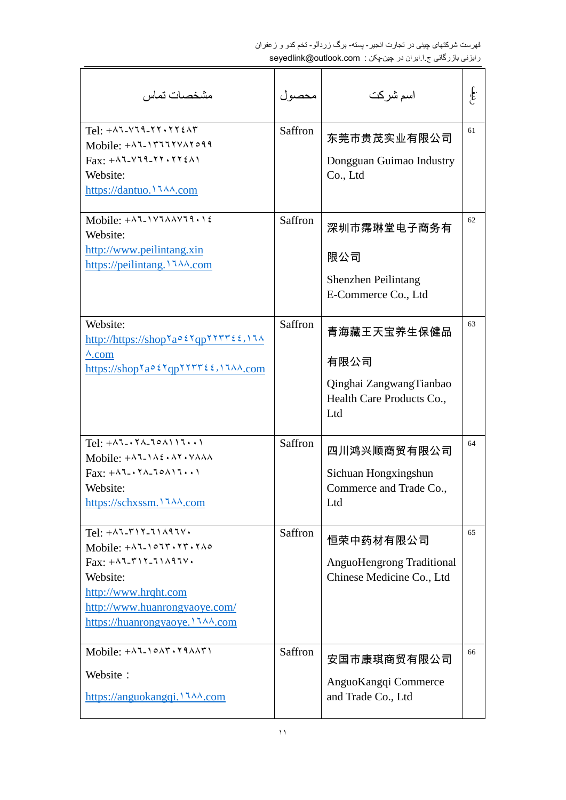| مشخصيات تماس                                                                                                                                                                                                                                                                   | محصول   | اسم شركت                                                                           | .<br>انج |
|--------------------------------------------------------------------------------------------------------------------------------------------------------------------------------------------------------------------------------------------------------------------------------|---------|------------------------------------------------------------------------------------|----------|
| $Tel: + \wedge 7 - \vee 79 - \vee 7 \vee \vee 77$<br>$Fax: +\lambda 7-\lambda 79-\lambda 77.772.$<br>Website:<br>https://dantuo.1744.com                                                                                                                                       | Saffron | 东莞市贵茂实业有限公司<br>Dongguan Guimao Industry<br>Co., Ltd                                | 61       |
| Mobile: $+$ ALIVIAAVII.1 $\xi$<br>Website:<br>http://www.peilintang.xin<br>https://peilintang. \ 144.com                                                                                                                                                                       | Saffron | 深圳市霈琳堂电子商务有<br>限公司<br>Shenzhen Peilintang<br>E-Commerce Co., Ltd                   | 62       |
| Website:<br>http://https://shopYao2YqpYYTT22,17A<br>$\lambda$ .com<br>https://shop <sup>\ao{\</sup> qp\\\r\{\$\}\\ng\{\lam\}                                                                                                                                                   | Saffron | 青海藏王天宝养生保健品<br>有限公司<br>Qinghai ZangwangTianbao<br>Health Care Products Co.,<br>Ltd | 63       |
| Tel: $+ \wedge 7 - \wedge 7 - 70 \wedge 117 \cdots$<br>Mobile: $+$ $\lambda$ 1- $\lambda$ 2. $\lambda$ 1. $\lambda$ 1. $\lambda$<br>$\text{Fax}: +\wedge 7 - \wedge 7 - \wedge 9 - \wedge 17 \cdots$<br>Website:<br>https://schxssm. 1744.com                                  | Saffron | 四川鸿兴顺商贸有限公司<br>Sichuan Hongxingshun<br>Commerce and Trade Co.,<br>Ltd              | 64       |
| Tel: $+ \wedge 7 - r \wedge 7 - 7 \wedge 97 \vee \cdot$<br>Mobile: $+$ $\wedge$ $\vee$ $\wedge$ $\wedge$ $\wedge$ $\wedge$ $\wedge$ $\wedge$ $\wedge$ $\wedge$ $\wedge$<br>Website:<br>http://www.hrqht.com<br>http://www.huanrongyaoye.com/<br>https://huanrongyaoye.11^^.com | Saffron | 恒荣中药材有限公司<br><b>AnguoHengrong Traditional</b><br>Chinese Medicine Co., Ltd         | 65       |
| Website:                                                                                                                                                                                                                                                                       | Saffron | 安国市康琪商贸有限公司<br>AnguoKangqi Commerce<br>and Trade Co., Ltd                          | 66       |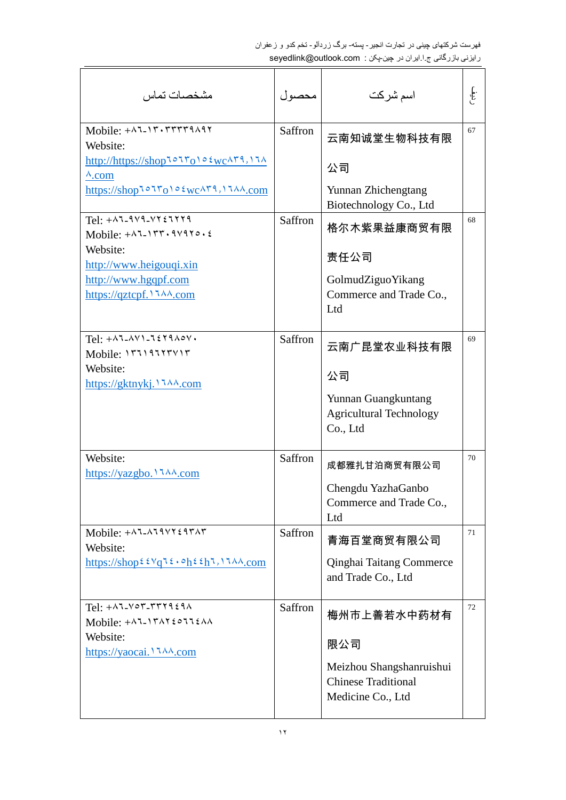| مشخصات تماس                                                                                                                                                                                                                                                                                                                                                                                                                                                                                                 | محصول   | اسم شركت                                                                    | .<br>الج:<br>ا |
|-------------------------------------------------------------------------------------------------------------------------------------------------------------------------------------------------------------------------------------------------------------------------------------------------------------------------------------------------------------------------------------------------------------------------------------------------------------------------------------------------------------|---------|-----------------------------------------------------------------------------|----------------|
| Mobile: $+27 - 17.777779297$<br>Website:<br>$http://https://shop1°17o1°\epsilon wc\Lambda79,17\Lambda$<br>$\lambda$ .com                                                                                                                                                                                                                                                                                                                                                                                    | Saffron | 云南知诚堂生物科技有限<br>公司                                                           | 67             |
| https://shoploiroio ٤wc/٢٩, 11/4.com                                                                                                                                                                                                                                                                                                                                                                                                                                                                        |         | Yunnan Zhichengtang<br>Biotechnology Co., Ltd                               |                |
| $Tel: +$ $\lambda$ 7-9/9- $\forall$ 3 $\forall$ 3 $\forall$ 3 $\forall$ 3 $\forall$ 4 $\forall$ 4 $\forall$ 4 $\forall$ 4 $\forall$ 4 $\forall$ 4 $\forall$ 4 $\forall$ 4 $\forall$ 4 $\forall$ 4 $\forall$ 4 $\forall$ 4 $\forall$ 4 $\forall$ 4 $\forall$ 4 $\forall$ 4 $\forall$ 4 $\forall$ 4 $\forall$ 4 $\forall$ 4 $\forall$ 4 $\forall$ 4 $\forall$ 4 $\forall$ 4 $\forall$ 4<br>Mobile: $+ \lambda^{\dagger}$ - $\gamma^{\dagger}$ , $\gamma^{\dagger}$ , $\gamma^{\dagger}$ , $\zeta$<br>Website: | Saffron | 格尔木紫果益康商贸有限                                                                 | 68             |
| http://www.heigouqi.xin                                                                                                                                                                                                                                                                                                                                                                                                                                                                                     |         | 责任公司                                                                        |                |
| http://www.hgqpf.com<br>https://qztcpf. \ \ \ \ \ \ \ com                                                                                                                                                                                                                                                                                                                                                                                                                                                   |         | GolmudZiguoYikang<br>Commerce and Trade Co.,<br>Ltd                         |                |
| Tel: $+$ AJ-AVI-JEY9A0V.<br>Mobile: ١٣٦١٩٦٢٣٧١٣<br>Website:                                                                                                                                                                                                                                                                                                                                                                                                                                                 | Saffron | 云南广昆堂农业科技有限                                                                 | 69             |
|                                                                                                                                                                                                                                                                                                                                                                                                                                                                                                             |         | 公司                                                                          |                |
|                                                                                                                                                                                                                                                                                                                                                                                                                                                                                                             |         | Yunnan Guangkuntang<br><b>Agricultural Technology</b><br>Co., Ltd           |                |
| Website:<br>https://yazgbo. 1744.com                                                                                                                                                                                                                                                                                                                                                                                                                                                                        | Saffron | 成都雅扎甘泊商贸有限公司                                                                | 70             |
|                                                                                                                                                                                                                                                                                                                                                                                                                                                                                                             |         | Chengdu YazhaGanbo<br>Commerce and Trade Co.,<br>Ltd                        |                |
| Mobile: $+$ $\lambda$ 7- $\lambda$ 79 $\lambda$ 787 $\lambda$ 7<br>Website:                                                                                                                                                                                                                                                                                                                                                                                                                                 | Saffron | 青海百堂商贸有限公司                                                                  | 71             |
| https://shop $\frac{\xi \sqrt{q} \xi \cdot \phi_h \xi \eta}{\eta}$ . 17AA.com                                                                                                                                                                                                                                                                                                                                                                                                                               |         | Qinghai Taitang Commerce<br>and Trade Co., Ltd                              |                |
| $Tel: +$ $\wedge$ $\wedge$ - $\vee$ $\wedge$ - $\wedge$ $\wedge$ $\wedge$<br>Mobile: $+$ A1-1۳A1 $\epsilon$ 011 $\epsilon$ AA                                                                                                                                                                                                                                                                                                                                                                               | Saffron | 梅州市上善若水中药材有                                                                 | 72             |
| Website:                                                                                                                                                                                                                                                                                                                                                                                                                                                                                                    |         | 限公司                                                                         |                |
|                                                                                                                                                                                                                                                                                                                                                                                                                                                                                                             |         | Meizhou Shangshanruishui<br><b>Chinese Traditional</b><br>Medicine Co., Ltd |                |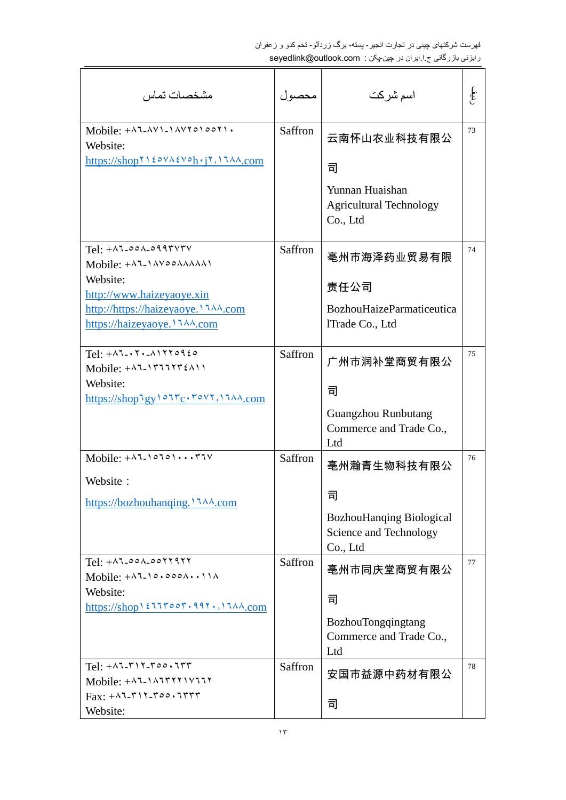| مشخصات تماس                                                                                                                                                                                                                                                                                                                                                                                          | محصول   | اسم شركت                                                              | .<br>المجموع |
|------------------------------------------------------------------------------------------------------------------------------------------------------------------------------------------------------------------------------------------------------------------------------------------------------------------------------------------------------------------------------------------------------|---------|-----------------------------------------------------------------------|--------------|
| $Mobile: + \land 7 - \land V1 - 1 \land V10001$<br>Website:                                                                                                                                                                                                                                                                                                                                          | Saffron | 云南怀山农业科技有限公                                                           | 73           |
|                                                                                                                                                                                                                                                                                                                                                                                                      |         | ᆿ                                                                     |              |
|                                                                                                                                                                                                                                                                                                                                                                                                      |         | Yunnan Huaishan<br><b>Agricultural Technology</b><br>Co., Ltd         |              |
| $Tel: +$ $\wedge$ $\wedge$ - $\circ \wedge$ - $\circ \wedge \wedge \wedge \wedge \vee \vee \vee$<br>Mobile: $+$ $\wedge$ $\wedge$ $\wedge$ $\wedge$ $\wedge$ $\wedge$ $\wedge$ $\wedge$ $\wedge$ $\wedge$                                                                                                                                                                                            | Saffron | 亳州市海泽药业贸易有限                                                           | 74           |
| Website:                                                                                                                                                                                                                                                                                                                                                                                             |         |                                                                       |              |
| http://www.haizeyaoye.xin                                                                                                                                                                                                                                                                                                                                                                            |         | 责任公司                                                                  |              |
| http://https://haizeyaoye. 1744.com<br>https://haizeyaoye. \ 144.com                                                                                                                                                                                                                                                                                                                                 |         | BozhouHaizeParmaticeutica<br>lTrade Co., Ltd                          |              |
| $Tel: + \wedge 7 - \wedge 7 - \wedge 1770920$<br>Mobile: $+$ $\wedge$ $\wedge$ $\wedge$ $\wedge$ $\wedge$ $\wedge$ $\wedge$                                                                                                                                                                                                                                                                          | Saffron | 广州市润补堂商贸有限公                                                           | 75           |
| Website:                                                                                                                                                                                                                                                                                                                                                                                             |         | 司                                                                     |              |
| $\frac{https://shop'gy\circ\forall c\cdot\texttt{rov}\cdot\texttt{vav.com}}{}$                                                                                                                                                                                                                                                                                                                       |         | <b>Guangzhou Runbutang</b><br>Commerce and Trade Co.,<br>Ltd          |              |
| Mobile: $+$ $\wedge$ $\vee$ $\wedge$ $\wedge$ $\wedge$ $\wedge$ $\wedge$ $\wedge$ $\wedge$ $\wedge$ $\wedge$ $\wedge$                                                                                                                                                                                                                                                                                | Saffron | 亳州瀚青生物科技有限公                                                           | 76           |
| Website:                                                                                                                                                                                                                                                                                                                                                                                             |         | 司                                                                     |              |
|                                                                                                                                                                                                                                                                                                                                                                                                      |         | <b>BozhouHanqing Biological</b><br>Science and Technology<br>Co., Ltd |              |
| $Tel: + \wedge 7 - \circ \circ \wedge - \circ \circ \wedge \vee \wedge \vee \vee \vee$<br>Mobile: $+$ $\wedge$ $\vee$ $\circ$ $\circ$ $\circ$ $\wedge$ $\cdots$ $\wedge$                                                                                                                                                                                                                             | Saffron | 亳州市同庆堂商贸有限公                                                           | 77           |
| Website:                                                                                                                                                                                                                                                                                                                                                                                             |         | 司                                                                     |              |
| $\frac{https://shop1517007.997.17A}{.com}$                                                                                                                                                                                                                                                                                                                                                           |         | BozhouTongqingtang<br>Commerce and Trade Co.,<br>Ltd                  |              |
| $Tel: + \wedge 7 - r \wedge 7 - r \circ \circ \cdot 7 + r$<br>Mobile: $+$ $\wedge$ $\wedge$ $\wedge$ $\wedge$ $\wedge$ $\wedge$ $\wedge$ $\wedge$ $\wedge$ $\wedge$ $\wedge$ $\wedge$ $\wedge$ $\wedge$ $\wedge$ $\wedge$ $\wedge$ $\wedge$ $\wedge$ $\wedge$ $\wedge$ $\wedge$ $\wedge$ $\wedge$ $\wedge$ $\wedge$ $\wedge$ $\wedge$ $\wedge$ $\wedge$ $\wedge$ $\wedge$ $\wedge$ $\wedge$ $\wedge$ | Saffron | 安国市益源中药材有限公                                                           | 78           |
| $Fax: +\lambda 7 - \lambda 7 - \lambda 8 - \lambda 9$<br>Website:                                                                                                                                                                                                                                                                                                                                    |         | 司                                                                     |              |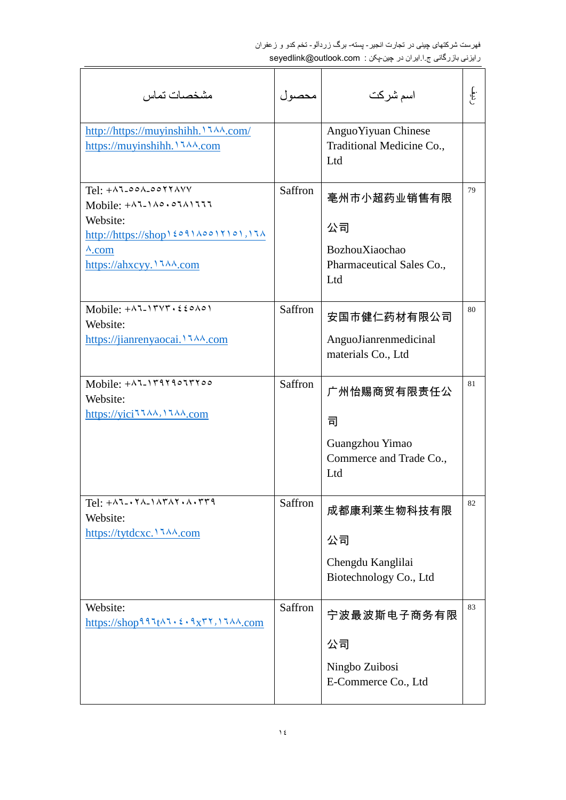| مشخصيات تماس                                                                                                                                                                          | محصو ل  | اسم شركت                                                                | .<br>المجل |
|---------------------------------------------------------------------------------------------------------------------------------------------------------------------------------------|---------|-------------------------------------------------------------------------|------------|
|                                                                                                                                                                                       |         | Anguo Yiyuan Chinese<br>Traditional Medicine Co.,<br>Ltd                |            |
| Tel: $+$ Al-00A-00YYAVV<br>Mobile: $+$ ALIA $\circ$ , $\circ$ IAIII<br>Website:<br>http://https://shop \ { 09 \ \ \ 00 \ \ \ 0 \ , \ 7 \<br>$\lambda$ .com<br>https://ahxcyy.1744.com | Saffron | 亳州市小超药业销售有限<br>公司<br>BozhouXiaochao<br>Pharmaceutical Sales Co.,<br>Ltd | 79         |
| Mobile: $+ \lambda^{\dagger}$ - $\gamma^{\dagger}$<br>Website:<br>https://jianrenyaocai. \ <i>AA</i> .com                                                                             | Saffron | 安国市健仁药材有限公司<br>AnguoJianrenmedicinal<br>materials Co., Ltd              | 80         |
| Mobile: $+$ ALITTIOUTTIOO<br>Website:<br>https://yici11111,1111.com                                                                                                                   | Saffron | 广州怡赐商贸有限责任公<br>司<br>Guangzhou Yimao<br>Commerce and Trade Co.,<br>Ltd   | 81         |
| $Tel: +\lambda 7-\cdot 7\lambda_1\lambda 7\lambda 7\cdot 7\cdot 7\cdot 7$<br>Website:                                                                                                 | Saffron | 成都康利莱生物科技有限<br>公司<br>Chengdu Kanglilai<br>Biotechnology Co., Ltd        | 82         |
| Website:<br>https://shop9911t $\lambda$ 1. $\epsilon$ . 9x <sup>r</sup> Y, 11 $\lambda$ $\lambda$ .com                                                                                | Saffron | 宁波最波斯电子商务有限<br>公司<br>Ningbo Zuibosi<br>E-Commerce Co., Ltd              | 83         |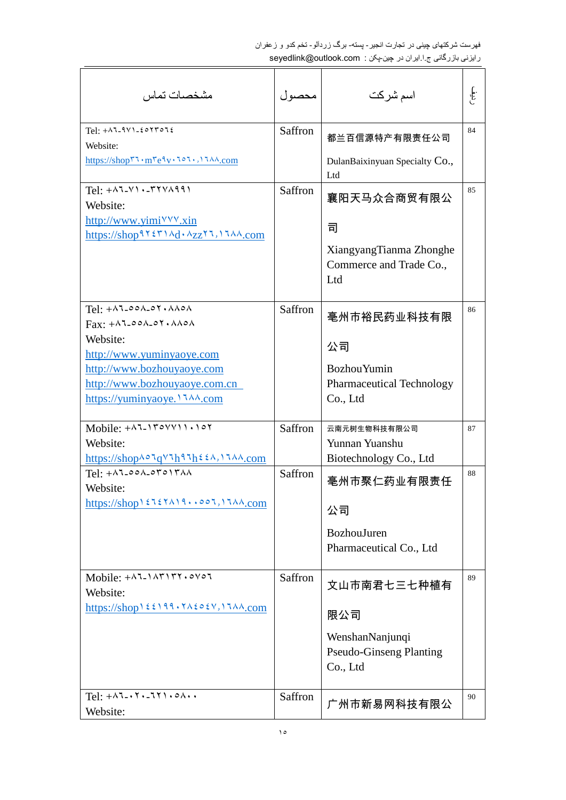| مشخصات تماس                                                                                                                                                                                                                                                                      | محصول   | اسم شركت                                                                                 | .<br>الج:<br>ا |
|----------------------------------------------------------------------------------------------------------------------------------------------------------------------------------------------------------------------------------------------------------------------------------|---------|------------------------------------------------------------------------------------------|----------------|
| $Tel: +\lambda 7-9V1-20YTO72$<br>Website:<br>https://shopri.mreiv.101.,1144.com                                                                                                                                                                                                  | Saffron | 都兰百信源特产有限责任公司<br>DulanBaixinyuan Specialty Co.,<br>Ltd                                   | 84             |
| $Tel: + \wedge 7 - \vee 1 \cdot _r7 \vee \wedge 991$<br>Website:<br>http://www.yimi <sup>\'\'\</sup> '.xin<br>https://shop91211\d . $\lambda_{ZZ}$ 11, 11 $\lambda$                                                                                                              | Saffron | 襄阳天马众合商贸有限公<br>司<br>XiangyangTianma Zhonghe<br>Commerce and Trade Co.,<br>Ltd            | 85             |
| $Tel: +\lambda 1.00\lambda.01. \lambda A0\lambda$<br>$\text{Fax:} + \text{A} \text{I} - \text{A} \text{A} - \text{A} \text{A} \text{A}$<br>Website:<br>http://www.yuminyaoye.com<br>http://www.bozhouyaoye.com<br>http://www.bozhouyaoye.com.cn<br>https://yuminyaoye. \ 144.com | Saffron | 毫州市裕民药业科技有限<br>公司<br><b>Bozhou Yumin</b><br><b>Pharmaceutical Technology</b><br>Co., Ltd | 86             |
| Mobile: $+ \wedge 7 - 1704411 \cdot 107$<br>Website:<br>https://shop^^JqVJh9Jh٤٤^, \J^^_\                                                                                                                                                                                        | Saffron | 云南元树生物科技有限公司<br>Yunnan Yuanshu<br>Biotechnology Co., Ltd                                 | 87             |
| $Tel: +\lambda 7 - 00\lambda - 07017\lambda\lambda$<br>Website:                                                                                                                                                                                                                  | Saffron | 亳州市聚仁药业有限责任<br>公司<br>BozhouJuren<br>Pharmaceutical Co., Ltd                              | 88             |
| Mobile: $+$ $\lambda$ 7- $\lambda$ $\gamma$ $\gamma$ , $\delta$ $\gamma$ $\delta$<br>Website:                                                                                                                                                                                    | Saffron | 文山市南君七三七种植有<br>限公司<br>WenshanNanjunqi<br><b>Pseudo-Ginseng Planting</b><br>Co., Ltd      | 89             |
| Tel: $+ \wedge 7 - \wedge 7 - 77$ , $\circ \wedge \cdots$<br>Website:                                                                                                                                                                                                            | Saffron | 广州市新易网科技有限公                                                                              | 90             |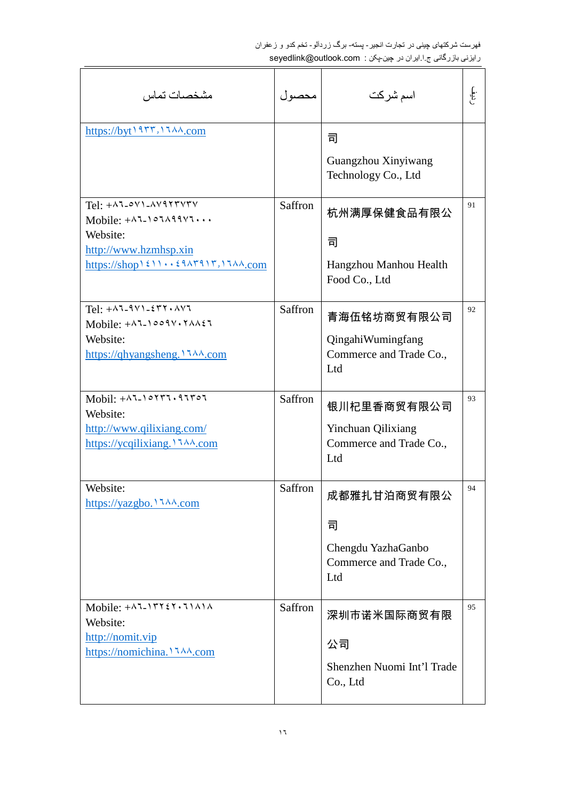| مشخصات تماس                                                                                                                                                                                                                                                                                                                                                                                                                                                             | محصول   | اسم شركت                                                                 | .<br>المجموع |
|-------------------------------------------------------------------------------------------------------------------------------------------------------------------------------------------------------------------------------------------------------------------------------------------------------------------------------------------------------------------------------------------------------------------------------------------------------------------------|---------|--------------------------------------------------------------------------|--------------|
| https://byt19rr,1144.com                                                                                                                                                                                                                                                                                                                                                                                                                                                |         | 司<br>Guangzhou Xinyiwang<br>Technology Co., Ltd                          |              |
| $Tel: +\lambda 7-oV$ ) $\lambda V$ 977 $V$<br>Mobile: $+$ $\wedge$ $\vee$ $\wedge$ $\wedge$ $\wedge$ $\wedge$ $\wedge$ $\wedge$ $\wedge$ $\wedge$ $\wedge$ $\wedge$ $\wedge$ $\wedge$ $\wedge$ $\wedge$ $\wedge$ $\wedge$ $\wedge$ $\wedge$ $\wedge$ $\wedge$ $\wedge$ $\wedge$ $\wedge$ $\wedge$ $\wedge$ $\wedge$ $\wedge$ $\wedge$ $\wedge$ $\wedge$ $\wedge$ $\wedge$ $\wedge$<br>Website:<br>http://www.hzmhsp.xin<br>$\frac{\text{https://shop111.177117.17}}{0}$ | Saffron | 杭州满厚保健食品有限公<br>司<br>Hangzhou Manhou Health<br>Food Co., Ltd              | 91           |
| $Tel: + \wedge 7 - 9 \vee 1 - 5 \vee 7 \cdot \wedge \vee 7$<br>Mobile: $+$ Allooqv. $\forall$ Allooqvessed $\forall$<br>Website:<br>https://qhyangsheng. 1744.com                                                                                                                                                                                                                                                                                                       | Saffron | 青海伍铭坊商贸有限公司<br>QingahiWumingfang<br>Commerce and Trade Co.,<br>Ltd       | 92           |
| $Mobil: +$ $\wedge$ $\overline{\wedge}$ $\wedge$ $\wedge$ $\overline{\wedge}$ $\wedge$ $\wedge$ $\wedge$ $\wedge$<br>Website:<br>http://www.qilixiang.com/<br>https://ycqilixiang. 1744.com                                                                                                                                                                                                                                                                             | Saffron | 银川杞里香商贸有限公司<br>Yinchuan Qilixiang<br>Commerce and Trade Co.,<br>Ltd      | 93           |
| Website:<br>https://yazgbo.1744.com                                                                                                                                                                                                                                                                                                                                                                                                                                     | Saffron | 成都雅扎甘泊商贸有限公<br>司<br>Chengdu YazhaGanbo<br>Commerce and Trade Co.,<br>Ltd | 94           |
| Mobile: $+$ ALITY $5$ Y $\cdot$ 1) A) A<br>Website:<br>http://nomit.vip<br>https://nomichina. \ <i>LAA.com</i>                                                                                                                                                                                                                                                                                                                                                          | Saffron | 深圳市诺米国际商贸有限<br>公司<br>Shenzhen Nuomi Int'l Trade<br>Co., Ltd              | 95           |